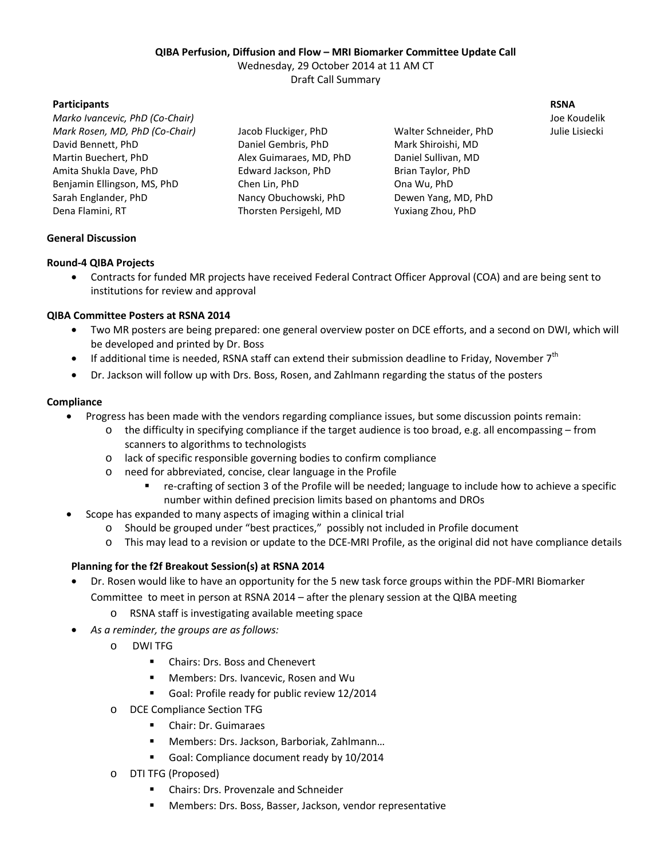#### **QIBA Perfusion, Diffusion and Flow – MRI Biomarker Committee Update Call**

Wednesday, 29 October 2014 at 11 AM CT

Draft Call Summary

# **Participants RSNA**

*Marko Ivancevic, PhD (Co-Chair)* Joe Koudelik *Mark Rosen, MD, PhD (Co-Chair)* Jacob Fluckiger, PhD Walter Schneider, PhD Julie Lisiecki David Bennett, PhD Daniel Gembris, PhD Mark Shiroishi, MD Martin Buechert, PhD Alex Guimaraes, MD, PhD Daniel Sullivan, MD Amita Shukla Dave, PhD **Edward Jackson, PhD** Brian Taylor, PhD Benjamin Ellingson, MS, PhD Chen Lin, PhD Ona Wu, PhD Sarah Englander, PhD **Nancy Obuchowski, PhD** Dewen Yang, MD, PhD Dena Flamini, RT Thorsten Persigehl, MD Yuxiang Zhou, PhD

#### **General Discussion**

# **Round-4 QIBA Projects**

· Contracts for funded MR projects have received Federal Contract Officer Approval (COA) and are being sent to institutions for review and approval

# **QIBA Committee Posters at RSNA 2014**

- Two MR posters are being prepared: one general overview poster on DCE efforts, and a second on DWI, which will be developed and printed by Dr. Boss
- If additional time is needed, RSNA staff can extend their submission deadline to Friday, November 7<sup>th</sup>
- Dr. Jackson will follow up with Drs. Boss, Rosen, and Zahlmann regarding the status of the posters

#### **Compliance**

- · Progress has been made with the vendors regarding compliance issues, but some discussion points remain:
	- o the difficulty in specifying compliance if the target audience is too broad, e.g. all encompassing from scanners to algorithms to technologists
	- o lack of specific responsible governing bodies to confirm compliance
	- o need for abbreviated, concise, clear language in the Profile
		- re-crafting of section 3 of the Profile will be needed; language to include how to achieve a specific number within defined precision limits based on phantoms and DROs
	- · Scope has expanded to many aspects of imaging within a clinical trial
		- o Should be grouped under "best practices," possibly not included in Profile document
		- o This may lead to a revision or update to the DCE-MRI Profile, as the original did not have compliance details

# **Planning for the f2f Breakout Session(s) at RSNA 2014**

- · Dr. Rosen would like to have an opportunity for the 5 new task force groups within the PDF-MRI Biomarker Committee to meet in person at RSNA 2014 – after the plenary session at the QIBA meeting
	- o RSNA staff is investigating available meeting space
- · *As a reminder, the groups are as follows:*
	- o DWI TFG
		- **EXEC** Chairs: Drs. Boss and Chenevert
		- **Members: Drs. Ivancevic, Rosen and Wu**
		- Goal: Profile ready for public review 12/2014
	- o DCE Compliance Section TFG
		- Chair: Dr. Guimaraes
		- Members: Drs. Jackson, Barboriak, Zahlmann...
		- Goal: Compliance document ready by 10/2014
	- o DTI TFG (Proposed)
		- Chairs: Drs. Provenzale and Schneider
		- Members: Drs. Boss, Basser, Jackson, vendor representative